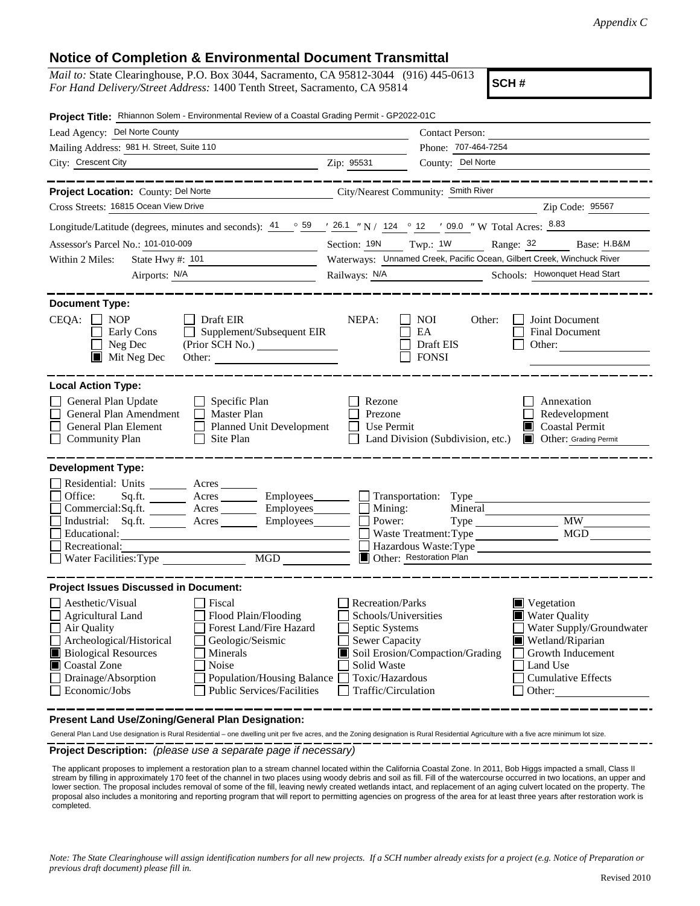## **Notice of Completion & Environmental Document Transmittal**

| <i>Mail to:</i> State Clearinghouse, P.O. Box 3044, Sacramento, CA 95812-3044 (916) 445-0613 |  |
|----------------------------------------------------------------------------------------------|--|
| For Hand Delivery/Street Address: 1400 Tenth Street, Sacramento, CA 95814                    |  |

**SCH #**

| Project Title: Rhiannon Solem - Environmental Review of a Coastal Grading Permit - GP2022-01C                                                                                                                                                                                                                                               |                                                                                                                                                                                                                                                                                                                                                       |  |
|---------------------------------------------------------------------------------------------------------------------------------------------------------------------------------------------------------------------------------------------------------------------------------------------------------------------------------------------|-------------------------------------------------------------------------------------------------------------------------------------------------------------------------------------------------------------------------------------------------------------------------------------------------------------------------------------------------------|--|
| Lead Agency: Del Norte County                                                                                                                                                                                                                                                                                                               | <b>Contact Person:</b>                                                                                                                                                                                                                                                                                                                                |  |
| Mailing Address: 981 H. Street, Suite 110                                                                                                                                                                                                                                                                                                   | Phone: 707-464-7254                                                                                                                                                                                                                                                                                                                                   |  |
| City: Crescent City                                                                                                                                                                                                                                                                                                                         | County: Del Norte<br>Zip: 95531                                                                                                                                                                                                                                                                                                                       |  |
| Project Location: County: Del Norte<br>Cross Streets: 16815 Ocean View Drive                                                                                                                                                                                                                                                                | City/Nearest Community: Smith River<br>Zip Code: 95567                                                                                                                                                                                                                                                                                                |  |
| Longitude/Latitude (degrees, minutes and seconds): $\frac{41}{9}$ $\frac{59}{9}$ $\frac{126.1}{9}$ N / 124 $\degree$ 12 $\degree$ 109.0 $\degree$ W Total Acres: $\frac{8.83}{9}$                                                                                                                                                           |                                                                                                                                                                                                                                                                                                                                                       |  |
|                                                                                                                                                                                                                                                                                                                                             |                                                                                                                                                                                                                                                                                                                                                       |  |
| Assessor's Parcel No.: 101-010-009                                                                                                                                                                                                                                                                                                          | Section: 19N Twp.: 1W Range: 32 Base: H.B&M                                                                                                                                                                                                                                                                                                           |  |
| State Hwy #: 101<br>Within 2 Miles:                                                                                                                                                                                                                                                                                                         | Waterways: Unnamed Creek, Pacific Ocean, Gilbert Creek, Winchuck River                                                                                                                                                                                                                                                                                |  |
| Airports: N/A                                                                                                                                                                                                                                                                                                                               | Railways: N/A Schools: Howonquet Head Start                                                                                                                                                                                                                                                                                                           |  |
| <b>Document Type:</b><br>CEQA:<br><b>NOP</b><br>Draft EIR<br>$\mathbf{1}$<br>Supplement/Subsequent EIR<br>Early Cons<br>$\perp$<br>Neg Dec<br>(Prior SCH No.) ________________<br>$\blacksquare$ Mit Neg Dec<br>Other:                                                                                                                      | NEPA:<br><b>NOI</b><br>Joint Document<br>Other:<br><b>Final Document</b><br>EA<br>Draft EIS<br>Other:<br><b>FONSI</b>                                                                                                                                                                                                                                 |  |
| <b>Local Action Type:</b>                                                                                                                                                                                                                                                                                                                   |                                                                                                                                                                                                                                                                                                                                                       |  |
| General Plan Update<br>Specific Plan<br>General Plan Amendment<br><b>Master Plan</b><br>General Plan Element<br>Planned Unit Development<br>Site Plan<br><b>Community Plan</b><br>$\Box$                                                                                                                                                    | Rezone<br>Annexation<br>Prezone<br>Redevelopment<br>Coastal Permit<br>Use Permit<br>Other: Grading Permit<br>Land Division (Subdivision, etc.)                                                                                                                                                                                                        |  |
| <b>Development Type:</b><br>Residential: Units ________ Acres _______<br>Office:<br>Acres Employees<br>Sq.fit.<br>Commercial:Sq.ft. ________ Acres _________ Employees______<br>Industrial: Sq.ft. Acres<br>Employees_______<br>Educational:<br>Recreational:<br>Water Facilities: Type<br>$\overline{\text{MGD}}$                          | Transportation: Type<br>$\Box$ Mining:<br>Mineral<br><b>MW</b><br>Power:<br>MGD<br>Waste Treatment: Type<br>Hazardous Waste:Type<br>Other: Restoration Plan                                                                                                                                                                                           |  |
| <b>Project Issues Discussed in Document:</b>                                                                                                                                                                                                                                                                                                |                                                                                                                                                                                                                                                                                                                                                       |  |
| Aesthetic/Visual<br>  Fiscal<br>Flood Plain/Flooding<br>Agricultural Land<br>Air Quality<br>Forest Land/Fire Hazard<br>Archeological/Historical<br>Geologic/Seismic<br><b>Biological Resources</b><br>Minerals<br>Coastal Zone<br>Noise<br>Drainage/Absorption<br>Population/Housing Balance<br>Public Services/Facilities<br>Economic/Jobs | Recreation/Parks<br>$\blacksquare$ Vegetation<br>Schools/Universities<br><b>Water Quality</b><br>Water Supply/Groundwater<br>Septic Systems<br>Sewer Capacity<br>Wetland/Riparian<br>Soil Erosion/Compaction/Grading<br>Growth Inducement<br>Solid Waste<br>Land Use<br>Toxic/Hazardous<br><b>Cumulative Effects</b><br>Traffic/Circulation<br>Other: |  |

**Present Land Use/Zoning/General Plan Designation:**

General Plan Land Use designation is Rural Residential – one dwelling unit per five acres, and the Zoning designation is Rural Residential Agriculture with a five acre minimum lot size.

**Project Description:** *(please use a separate page if necessary)*

The applicant proposes to implement a restoration plan to a stream channel located within the California Coastal Zone. In 2011, Bob Higgs impacted a small, Class II stream by filling in approximately 170 feet of the channel in two places using woody debris and soil as fill. Fill of the watercourse occurred in two locations, an upper and lower section. The proposal includes removal of some of the fill, leaving newly created wetlands intact, and replacement of an aging culvert located on the property. The proposal also includes a monitoring and reporting program that will report to permitting agencies on progress of the area for at least three years after restoration work is completed.

*Note: The State Clearinghouse will assign identification numbers for all new projects. If a SCH number already exists for a project (e.g. Notice of Preparation or previous draft document) please fill in.*